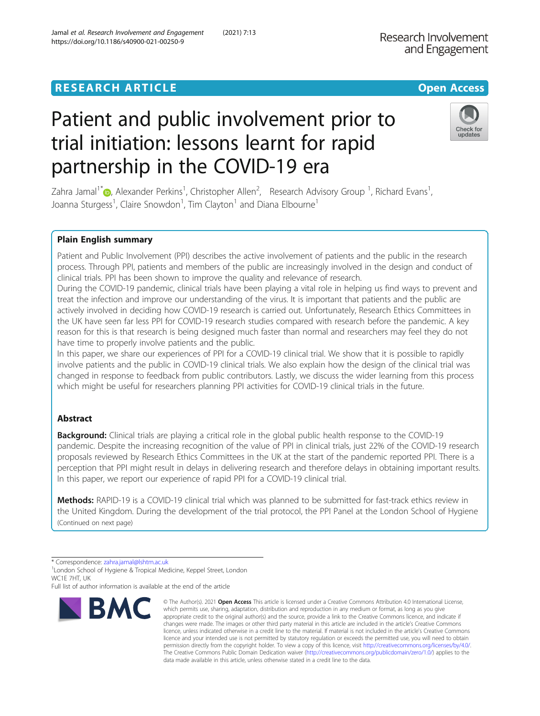## **RESEARCH ARTICLE Example 2014 12:30 The Contract of Contract ACCESS**

# Patient and public involvement prior to trial initiation: lessons learnt for rapid partnership in the COVID-19 era

Zahra Jamal<sup>1\*</sup>�[,](http://orcid.org/0000-0002-3817-6795) Alexander Perkins<sup>1</sup>, Christopher Allen<sup>2</sup>, Research Advisory Group <sup>1</sup>, Richard Evans<sup>1</sup> , Joanna Sturgess<sup>1</sup>, Claire Snowdon<sup>1</sup>, Tim Clayton<sup>1</sup> and Diana Elbourne<sup>1</sup>

## Plain English summary

Patient and Public Involvement (PPI) describes the active involvement of patients and the public in the research process. Through PPI, patients and members of the public are increasingly involved in the design and conduct of clinical trials. PPI has been shown to improve the quality and relevance of research.

During the COVID-19 pandemic, clinical trials have been playing a vital role in helping us find ways to prevent and treat the infection and improve our understanding of the virus. It is important that patients and the public are actively involved in deciding how COVID-19 research is carried out. Unfortunately, Research Ethics Committees in the UK have seen far less PPI for COVID-19 research studies compared with research before the pandemic. A key reason for this is that research is being designed much faster than normal and researchers may feel they do not have time to properly involve patients and the public.

In this paper, we share our experiences of PPI for a COVID-19 clinical trial. We show that it is possible to rapidly involve patients and the public in COVID-19 clinical trials. We also explain how the design of the clinical trial was changed in response to feedback from public contributors. Lastly, we discuss the wider learning from this process which might be useful for researchers planning PPI activities for COVID-19 clinical trials in the future.

## Abstract

Background: Clinical trials are playing a critical role in the global public health response to the COVID-19 pandemic. Despite the increasing recognition of the value of PPI in clinical trials, just 22% of the COVID-19 research proposals reviewed by Research Ethics Committees in the UK at the start of the pandemic reported PPI. There is a perception that PPI might result in delays in delivering research and therefore delays in obtaining important results. In this paper, we report our experience of rapid PPI for a COVID-19 clinical trial.

Methods: RAPID-19 is a COVID-19 clinical trial which was planned to be submitted for fast-track ethics review in the United Kingdom. During the development of the trial protocol, the PPI Panel at the London School of Hygiene (Continued on next page)

\* Correspondence: [zahra.jamal@lshtm.ac.uk](mailto:zahra.jamal@lshtm.ac.uk) <sup>1</sup>

**BMC** 

<sup>1</sup> London School of Hygiene & Tropical Medicine, Keppel Street, London WC1F 7HT, UK

Full list of author information is available at the end of the article



© The Author(s), 2021 **Open Access** This article is licensed under a Creative Commons Attribution 4.0 International License, which permits use, sharing, adaptation, distribution and reproduction in any medium or format, as long as you give



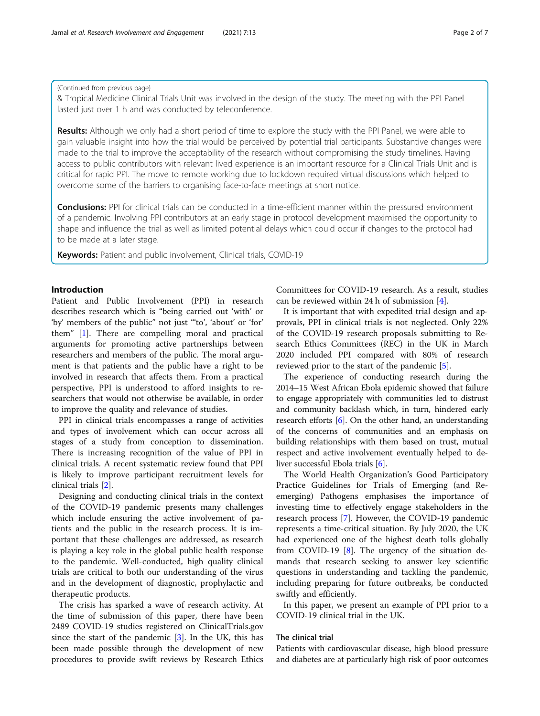#### (Continued from previous page)

& Tropical Medicine Clinical Trials Unit was involved in the design of the study. The meeting with the PPI Panel lasted just over 1 h and was conducted by teleconference.

Results: Although we only had a short period of time to explore the study with the PPI Panel, we were able to gain valuable insight into how the trial would be perceived by potential trial participants. Substantive changes were made to the trial to improve the acceptability of the research without compromising the study timelines. Having access to public contributors with relevant lived experience is an important resource for a Clinical Trials Unit and is critical for rapid PPI. The move to remote working due to lockdown required virtual discussions which helped to overcome some of the barriers to organising face-to-face meetings at short notice.

**Conclusions:** PPI for clinical trials can be conducted in a time-efficient manner within the pressured environment of a pandemic. Involving PPI contributors at an early stage in protocol development maximised the opportunity to shape and influence the trial as well as limited potential delays which could occur if changes to the protocol had to be made at a later stage.

Keywords: Patient and public involvement, Clinical trials, COVID-19

## Introduction

Patient and Public Involvement (PPI) in research describes research which is "being carried out 'with' or 'by' members of the public" not just "'to', 'about' or 'for' them" [\[1](#page-6-0)]. There are compelling moral and practical arguments for promoting active partnerships between researchers and members of the public. The moral argument is that patients and the public have a right to be involved in research that affects them. From a practical perspective, PPI is understood to afford insights to researchers that would not otherwise be available, in order to improve the quality and relevance of studies.

PPI in clinical trials encompasses a range of activities and types of involvement which can occur across all stages of a study from conception to dissemination. There is increasing recognition of the value of PPI in clinical trials. A recent systematic review found that PPI is likely to improve participant recruitment levels for clinical trials [[2\]](#page-6-0).

Designing and conducting clinical trials in the context of the COVID-19 pandemic presents many challenges which include ensuring the active involvement of patients and the public in the research process. It is important that these challenges are addressed, as research is playing a key role in the global public health response to the pandemic. Well-conducted, high quality clinical trials are critical to both our understanding of the virus and in the development of diagnostic, prophylactic and therapeutic products.

The crisis has sparked a wave of research activity. At the time of submission of this paper, there have been 2489 COVID-19 studies registered on ClinicalTrials.gov since the start of the pandemic  $[3]$  $[3]$ . In the UK, this has been made possible through the development of new procedures to provide swift reviews by Research Ethics Committees for COVID-19 research. As a result, studies can be reviewed within 24 h of submission [[4\]](#page-6-0).

It is important that with expedited trial design and approvals, PPI in clinical trials is not neglected. Only 22% of the COVID-19 research proposals submitting to Research Ethics Committees (REC) in the UK in March 2020 included PPI compared with 80% of research reviewed prior to the start of the pandemic [[5\]](#page-6-0).

The experience of conducting research during the 2014–15 West African Ebola epidemic showed that failure to engage appropriately with communities led to distrust and community backlash which, in turn, hindered early research efforts [\[6\]](#page-6-0). On the other hand, an understanding of the concerns of communities and an emphasis on building relationships with them based on trust, mutual respect and active involvement eventually helped to deliver successful Ebola trials [\[6](#page-6-0)].

The World Health Organization's Good Participatory Practice Guidelines for Trials of Emerging (and Reemerging) Pathogens emphasises the importance of investing time to effectively engage stakeholders in the research process [[7\]](#page-6-0). However, the COVID-19 pandemic represents a time-critical situation. By July 2020, the UK had experienced one of the highest death tolls globally from COVID-19  $[8]$ . The urgency of the situation demands that research seeking to answer key scientific questions in understanding and tackling the pandemic, including preparing for future outbreaks, be conducted swiftly and efficiently.

In this paper, we present an example of PPI prior to a COVID-19 clinical trial in the UK.

## The clinical trial

Patients with cardiovascular disease, high blood pressure and diabetes are at particularly high risk of poor outcomes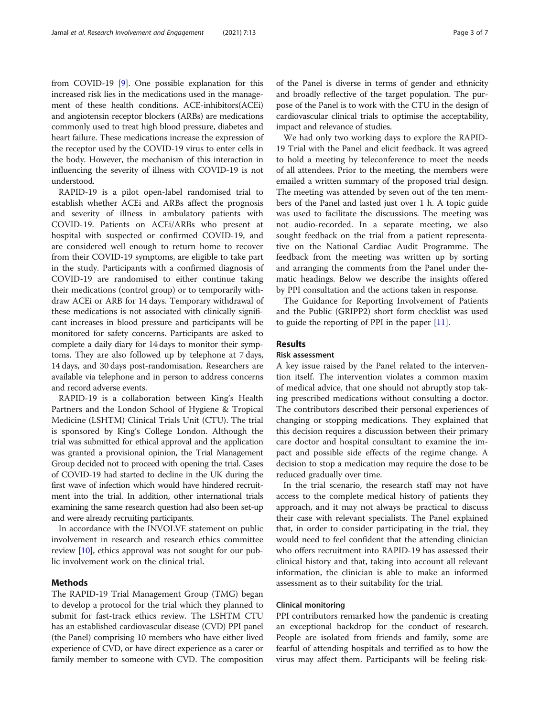from COVID-19 [[9](#page-6-0)]. One possible explanation for this increased risk lies in the medications used in the management of these health conditions. ACE-inhibitors(ACEi) and angiotensin receptor blockers (ARBs) are medications commonly used to treat high blood pressure, diabetes and heart failure. These medications increase the expression of the receptor used by the COVID-19 virus to enter cells in the body. However, the mechanism of this interaction in influencing the severity of illness with COVID-19 is not understood.

RAPID-19 is a pilot open-label randomised trial to establish whether ACEi and ARBs affect the prognosis and severity of illness in ambulatory patients with COVID-19. Patients on ACEi/ARBs who present at hospital with suspected or confirmed COVID-19, and are considered well enough to return home to recover from their COVID-19 symptoms, are eligible to take part in the study. Participants with a confirmed diagnosis of COVID-19 are randomised to either continue taking their medications (control group) or to temporarily withdraw ACEi or ARB for 14 days. Temporary withdrawal of these medications is not associated with clinically significant increases in blood pressure and participants will be monitored for safety concerns. Participants are asked to complete a daily diary for 14 days to monitor their symptoms. They are also followed up by telephone at 7 days, 14 days, and 30 days post-randomisation. Researchers are available via telephone and in person to address concerns and record adverse events.

RAPID-19 is a collaboration between King's Health Partners and the London School of Hygiene & Tropical Medicine (LSHTM) Clinical Trials Unit (CTU). The trial is sponsored by King's College London. Although the trial was submitted for ethical approval and the application was granted a provisional opinion, the Trial Management Group decided not to proceed with opening the trial. Cases of COVID-19 had started to decline in the UK during the first wave of infection which would have hindered recruitment into the trial. In addition, other international trials examining the same research question had also been set-up and were already recruiting participants.

In accordance with the INVOLVE statement on public involvement in research and research ethics committee review [[10](#page-6-0)], ethics approval was not sought for our public involvement work on the clinical trial.

## Methods

The RAPID-19 Trial Management Group (TMG) began to develop a protocol for the trial which they planned to submit for fast-track ethics review. The LSHTM CTU has an established cardiovascular disease (CVD) PPI panel (the Panel) comprising 10 members who have either lived experience of CVD, or have direct experience as a carer or family member to someone with CVD. The composition of the Panel is diverse in terms of gender and ethnicity and broadly reflective of the target population. The purpose of the Panel is to work with the CTU in the design of cardiovascular clinical trials to optimise the acceptability, impact and relevance of studies.

We had only two working days to explore the RAPID-19 Trial with the Panel and elicit feedback. It was agreed to hold a meeting by teleconference to meet the needs of all attendees. Prior to the meeting, the members were emailed a written summary of the proposed trial design. The meeting was attended by seven out of the ten members of the Panel and lasted just over 1 h. A topic guide was used to facilitate the discussions. The meeting was not audio-recorded. In a separate meeting, we also sought feedback on the trial from a patient representative on the National Cardiac Audit Programme. The feedback from the meeting was written up by sorting and arranging the comments from the Panel under thematic headings. Below we describe the insights offered by PPI consultation and the actions taken in response.

The Guidance for Reporting Involvement of Patients and the Public (GRIPP2) short form checklist was used to guide the reporting of PPI in the paper  $[11]$  $[11]$ .

#### **Results**

#### Risk assessment

A key issue raised by the Panel related to the intervention itself. The intervention violates a common maxim of medical advice, that one should not abruptly stop taking prescribed medications without consulting a doctor. The contributors described their personal experiences of changing or stopping medications. They explained that this decision requires a discussion between their primary care doctor and hospital consultant to examine the impact and possible side effects of the regime change. A decision to stop a medication may require the dose to be reduced gradually over time.

In the trial scenario, the research staff may not have access to the complete medical history of patients they approach, and it may not always be practical to discuss their case with relevant specialists. The Panel explained that, in order to consider participating in the trial, they would need to feel confident that the attending clinician who offers recruitment into RAPID-19 has assessed their clinical history and that, taking into account all relevant information, the clinician is able to make an informed assessment as to their suitability for the trial.

## Clinical monitoring

PPI contributors remarked how the pandemic is creating an exceptional backdrop for the conduct of research. People are isolated from friends and family, some are fearful of attending hospitals and terrified as to how the virus may affect them. Participants will be feeling risk-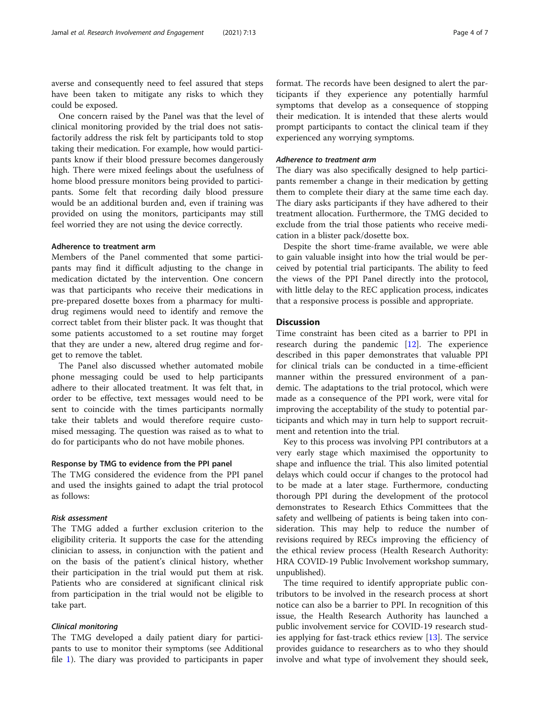averse and consequently need to feel assured that steps have been taken to mitigate any risks to which they could be exposed.

One concern raised by the Panel was that the level of clinical monitoring provided by the trial does not satisfactorily address the risk felt by participants told to stop taking their medication. For example, how would participants know if their blood pressure becomes dangerously high. There were mixed feelings about the usefulness of home blood pressure monitors being provided to participants. Some felt that recording daily blood pressure would be an additional burden and, even if training was provided on using the monitors, participants may still feel worried they are not using the device correctly.

## Adherence to treatment arm

Members of the Panel commented that some participants may find it difficult adjusting to the change in medication dictated by the intervention. One concern was that participants who receive their medications in pre-prepared dosette boxes from a pharmacy for multidrug regimens would need to identify and remove the correct tablet from their blister pack. It was thought that some patients accustomed to a set routine may forget that they are under a new, altered drug regime and forget to remove the tablet.

The Panel also discussed whether automated mobile phone messaging could be used to help participants adhere to their allocated treatment. It was felt that, in order to be effective, text messages would need to be sent to coincide with the times participants normally take their tablets and would therefore require customised messaging. The question was raised as to what to do for participants who do not have mobile phones.

## Response by TMG to evidence from the PPI panel

The TMG considered the evidence from the PPI panel and used the insights gained to adapt the trial protocol as follows:

## Risk assessment

The TMG added a further exclusion criterion to the eligibility criteria. It supports the case for the attending clinician to assess, in conjunction with the patient and on the basis of the patient's clinical history, whether their participation in the trial would put them at risk. Patients who are considered at significant clinical risk from participation in the trial would not be eligible to take part.

#### Clinical monitoring

The TMG developed a daily patient diary for participants to use to monitor their symptoms (see Additional file [1](#page-5-0)). The diary was provided to participants in paper format. The records have been designed to alert the participants if they experience any potentially harmful symptoms that develop as a consequence of stopping their medication. It is intended that these alerts would prompt participants to contact the clinical team if they experienced any worrying symptoms.

### Adherence to treatment arm

The diary was also specifically designed to help participants remember a change in their medication by getting them to complete their diary at the same time each day. The diary asks participants if they have adhered to their treatment allocation. Furthermore, the TMG decided to exclude from the trial those patients who receive medication in a blister pack/dosette box.

Despite the short time-frame available, we were able to gain valuable insight into how the trial would be perceived by potential trial participants. The ability to feed the views of the PPI Panel directly into the protocol, with little delay to the REC application process, indicates that a responsive process is possible and appropriate.

## **Discussion**

Time constraint has been cited as a barrier to PPI in research during the pandemic [[12](#page-6-0)]. The experience described in this paper demonstrates that valuable PPI for clinical trials can be conducted in a time-efficient manner within the pressured environment of a pandemic. The adaptations to the trial protocol, which were made as a consequence of the PPI work, were vital for improving the acceptability of the study to potential participants and which may in turn help to support recruitment and retention into the trial.

Key to this process was involving PPI contributors at a very early stage which maximised the opportunity to shape and influence the trial. This also limited potential delays which could occur if changes to the protocol had to be made at a later stage. Furthermore, conducting thorough PPI during the development of the protocol demonstrates to Research Ethics Committees that the safety and wellbeing of patients is being taken into consideration. This may help to reduce the number of revisions required by RECs improving the efficiency of the ethical review process (Health Research Authority: HRA COVID-19 Public Involvement workshop summary, unpublished).

The time required to identify appropriate public contributors to be involved in the research process at short notice can also be a barrier to PPI. In recognition of this issue, the Health Research Authority has launched a public involvement service for COVID-19 research studies applying for fast-track ethics review [[13\]](#page-6-0). The service provides guidance to researchers as to who they should involve and what type of involvement they should seek,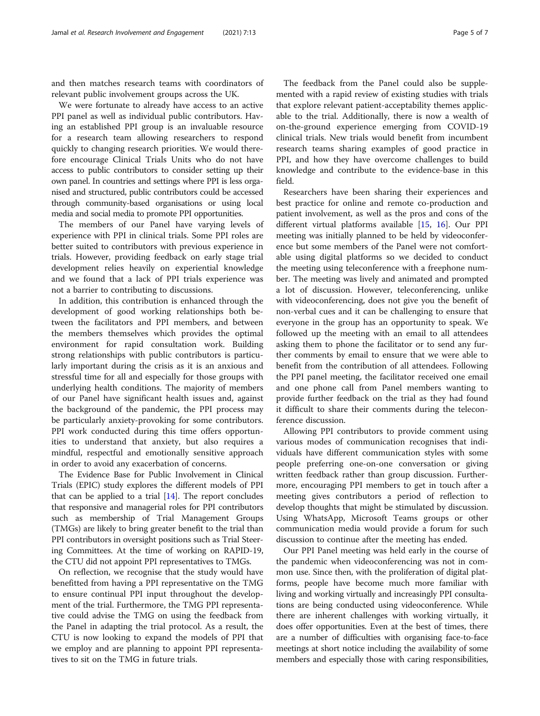and then matches research teams with coordinators of relevant public involvement groups across the UK.

We were fortunate to already have access to an active PPI panel as well as individual public contributors. Having an established PPI group is an invaluable resource for a research team allowing researchers to respond quickly to changing research priorities. We would therefore encourage Clinical Trials Units who do not have access to public contributors to consider setting up their own panel. In countries and settings where PPI is less organised and structured, public contributors could be accessed through community-based organisations or using local media and social media to promote PPI opportunities.

The members of our Panel have varying levels of experience with PPI in clinical trials. Some PPI roles are better suited to contributors with previous experience in trials. However, providing feedback on early stage trial development relies heavily on experiential knowledge and we found that a lack of PPI trials experience was not a barrier to contributing to discussions.

In addition, this contribution is enhanced through the development of good working relationships both between the facilitators and PPI members, and between the members themselves which provides the optimal environment for rapid consultation work. Building strong relationships with public contributors is particularly important during the crisis as it is an anxious and stressful time for all and especially for those groups with underlying health conditions. The majority of members of our Panel have significant health issues and, against the background of the pandemic, the PPI process may be particularly anxiety-provoking for some contributors. PPI work conducted during this time offers opportunities to understand that anxiety, but also requires a mindful, respectful and emotionally sensitive approach in order to avoid any exacerbation of concerns.

The Evidence Base for Public Involvement in Clinical Trials (EPIC) study explores the different models of PPI that can be applied to a trial  $[14]$  $[14]$ . The report concludes that responsive and managerial roles for PPI contributors such as membership of Trial Management Groups (TMGs) are likely to bring greater benefit to the trial than PPI contributors in oversight positions such as Trial Steering Committees. At the time of working on RAPID-19, the CTU did not appoint PPI representatives to TMGs.

On reflection, we recognise that the study would have benefitted from having a PPI representative on the TMG to ensure continual PPI input throughout the development of the trial. Furthermore, the TMG PPI representative could advise the TMG on using the feedback from the Panel in adapting the trial protocol. As a result, the CTU is now looking to expand the models of PPI that we employ and are planning to appoint PPI representatives to sit on the TMG in future trials.

The feedback from the Panel could also be supplemented with a rapid review of existing studies with trials that explore relevant patient-acceptability themes applicable to the trial. Additionally, there is now a wealth of on-the-ground experience emerging from COVID-19 clinical trials. New trials would benefit from incumbent research teams sharing examples of good practice in PPI, and how they have overcome challenges to build knowledge and contribute to the evidence-base in this field.

Researchers have been sharing their experiences and best practice for online and remote co-production and patient involvement, as well as the pros and cons of the different virtual platforms available [\[15](#page-6-0), [16](#page-6-0)]. Our PPI meeting was initially planned to be held by videoconference but some members of the Panel were not comfortable using digital platforms so we decided to conduct the meeting using teleconference with a freephone number. The meeting was lively and animated and prompted a lot of discussion. However, teleconferencing, unlike with videoconferencing, does not give you the benefit of non-verbal cues and it can be challenging to ensure that everyone in the group has an opportunity to speak. We followed up the meeting with an email to all attendees asking them to phone the facilitator or to send any further comments by email to ensure that we were able to benefit from the contribution of all attendees. Following the PPI panel meeting, the facilitator received one email and one phone call from Panel members wanting to provide further feedback on the trial as they had found it difficult to share their comments during the teleconference discussion.

Allowing PPI contributors to provide comment using various modes of communication recognises that individuals have different communication styles with some people preferring one-on-one conversation or giving written feedback rather than group discussion. Furthermore, encouraging PPI members to get in touch after a meeting gives contributors a period of reflection to develop thoughts that might be stimulated by discussion. Using WhatsApp, Microsoft Teams groups or other communication media would provide a forum for such discussion to continue after the meeting has ended.

Our PPI Panel meeting was held early in the course of the pandemic when videoconferencing was not in common use. Since then, with the proliferation of digital platforms, people have become much more familiar with living and working virtually and increasingly PPI consultations are being conducted using videoconference. While there are inherent challenges with working virtually, it does offer opportunities. Even at the best of times, there are a number of difficulties with organising face-to-face meetings at short notice including the availability of some members and especially those with caring responsibilities,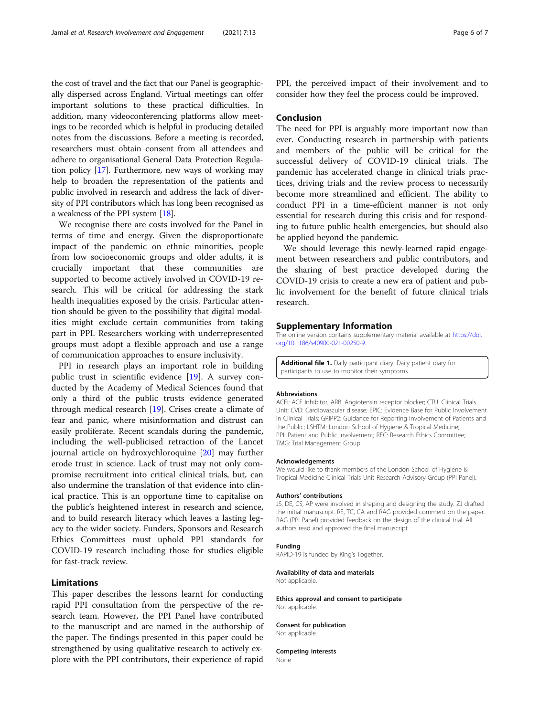<span id="page-5-0"></span>the cost of travel and the fact that our Panel is geographically dispersed across England. Virtual meetings can offer important solutions to these practical difficulties. In addition, many videoconferencing platforms allow meetings to be recorded which is helpful in producing detailed notes from the discussions. Before a meeting is recorded, researchers must obtain consent from all attendees and adhere to organisational General Data Protection Regulation policy [\[17\]](#page-6-0). Furthermore, new ways of working may help to broaden the representation of the patients and public involved in research and address the lack of diversity of PPI contributors which has long been recognised as a weakness of the PPI system [[18](#page-6-0)].

We recognise there are costs involved for the Panel in terms of time and energy. Given the disproportionate impact of the pandemic on ethnic minorities, people from low socioeconomic groups and older adults, it is crucially important that these communities are supported to become actively involved in COVID-19 research. This will be critical for addressing the stark health inequalities exposed by the crisis. Particular attention should be given to the possibility that digital modalities might exclude certain communities from taking part in PPI. Researchers working with underrepresented groups must adopt a flexible approach and use a range of communication approaches to ensure inclusivity.

PPI in research plays an important role in building public trust in scientific evidence [[19\]](#page-6-0). A survey conducted by the Academy of Medical Sciences found that only a third of the public trusts evidence generated through medical research [[19\]](#page-6-0). Crises create a climate of fear and panic, where misinformation and distrust can easily proliferate. Recent scandals during the pandemic, including the well-publicised retraction of the Lancet journal article on hydroxychloroquine [[20](#page-6-0)] may further erode trust in science. Lack of trust may not only compromise recruitment into critical clinical trials, but, can also undermine the translation of that evidence into clinical practice. This is an opportune time to capitalise on the public's heightened interest in research and science, and to build research literacy which leaves a lasting legacy to the wider society. Funders, Sponsors and Research Ethics Committees must uphold PPI standards for COVID-19 research including those for studies eligible for fast-track review.

## Limitations

This paper describes the lessons learnt for conducting rapid PPI consultation from the perspective of the research team. However, the PPI Panel have contributed to the manuscript and are named in the authorship of the paper. The findings presented in this paper could be strengthened by using qualitative research to actively explore with the PPI contributors, their experience of rapid

PPI, the perceived impact of their involvement and to consider how they feel the process could be improved.

## Conclusion

The need for PPI is arguably more important now than ever. Conducting research in partnership with patients and members of the public will be critical for the successful delivery of COVID-19 clinical trials. The pandemic has accelerated change in clinical trials practices, driving trials and the review process to necessarily become more streamlined and efficient. The ability to conduct PPI in a time-efficient manner is not only essential for research during this crisis and for responding to future public health emergencies, but should also be applied beyond the pandemic.

We should leverage this newly-learned rapid engagement between researchers and public contributors, and the sharing of best practice developed during the COVID-19 crisis to create a new era of patient and public involvement for the benefit of future clinical trials research.

#### Supplementary Information

The online version contains supplementary material available at [https://doi.](https://doi.org/10.1186/s40900-021-00250-9) [org/10.1186/s40900-021-00250-9.](https://doi.org/10.1186/s40900-021-00250-9)

Additional file 1. Daily participant diary. Daily patient diary for participants to use to monitor their symptoms.

#### Abbreviations

ACEi: ACE Inhibitor; ARB: Angiotensin receptor blocker; CTU: Clinical Trials Unit; CVD: Cardiovascular disease; EPIC: Evidence Base for Public Involvement in Clinical Trials; GRIPP2: Guidance for Reporting Involvement of Patients and the Public; LSHTM: London School of Hygiene & Tropical Medicine; PPI: Patient and Public Involvement; REC: Research Ethics Committee; TMG: Trial Management Group

#### Acknowledgements

We would like to thank members of the London School of Hygiene & Tropical Medicine Clinical Trials Unit Research Advisory Group (PPI Panel).

#### Authors' contributions

JS, DE, CS, AP were involved in shaping and designing the study. ZJ drafted the initial manuscript. RE, TC, CA and RAG provided comment on the paper. RAG (PPI Panel) provided feedback on the design of the clinical trial. All authors read and approved the final manuscript.

## Funding

RAPID-19 is funded by King's Together.

#### Availability of data and materials

Not applicable.

#### Ethics approval and consent to participate Not applicable.

Consent for publication Not applicable.

Competing interests None